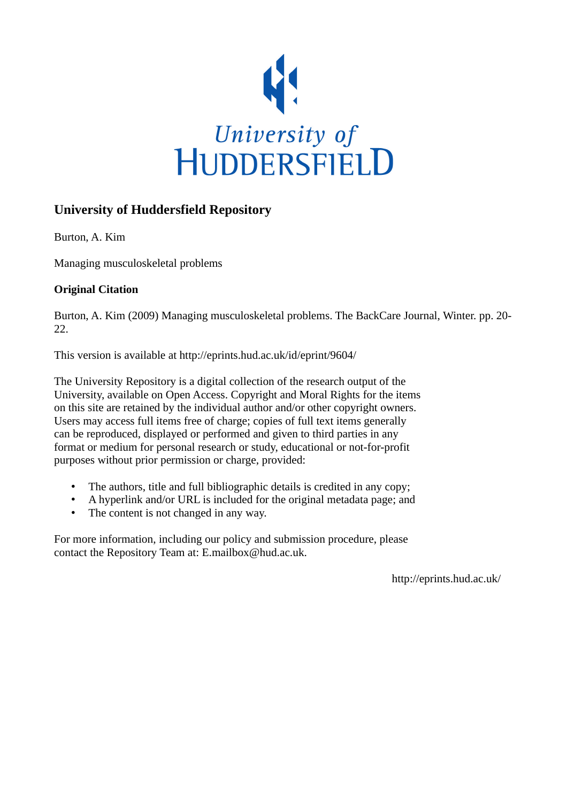

# **University of Huddersfield Repository**

Burton, A. Kim

Managing musculoskeletal problems

# **Original Citation**

Burton, A. Kim (2009) Managing musculoskeletal problems. The BackCare Journal, Winter. pp. 20- 22.

This version is available at http://eprints.hud.ac.uk/id/eprint/9604/

The University Repository is a digital collection of the research output of the University, available on Open Access. Copyright and Moral Rights for the items on this site are retained by the individual author and/or other copyright owners. Users may access full items free of charge; copies of full text items generally can be reproduced, displayed or performed and given to third parties in any format or medium for personal research or study, educational or not-for-profit purposes without prior permission or charge, provided:

- The authors, title and full bibliographic details is credited in any copy;
- A hyperlink and/or URL is included for the original metadata page; and
- The content is not changed in any way.

For more information, including our policy and submission procedure, please contact the Repository Team at: E.mailbox@hud.ac.uk.

http://eprints.hud.ac.uk/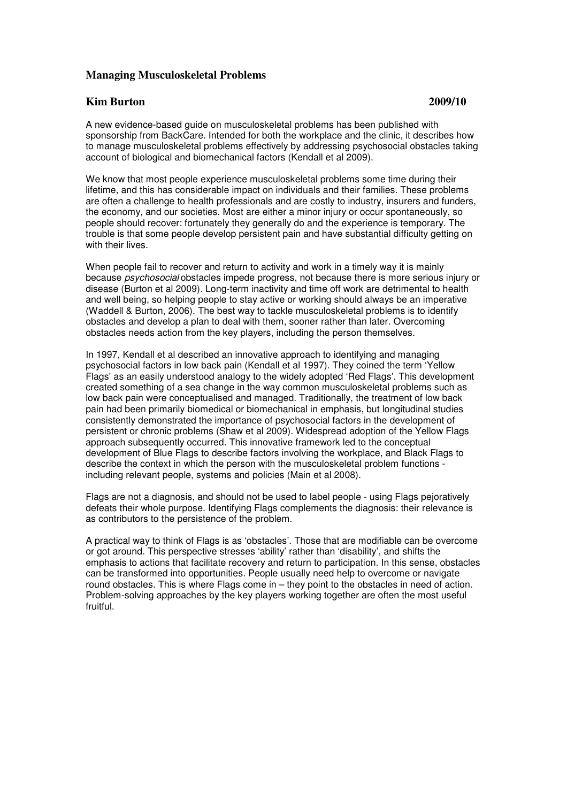# **Managing Musculoskeletal Problems**

#### **Kim Burton 2009/10**

A new evidence-based guide on musculoskeletal problems has been published with sponsorship from BackCare. Intended for both the workplace and the clinic, it describes how to manage musculoskeletal problems effectively by addressing psychosocial obstacles taking account of biological and biomechanical factors (Kendall et al 2009).

We know that most people experience musculoskeletal problems some time during their lifetime, and this has considerable impact on individuals and their families. These problems are often a challenge to health professionals and are costly to industry, insurers and funders, the economy, and our societies. Most are either a minor injury or occur spontaneously, so people should recover: fortunately they generally do and the experience is temporary. The trouble is that some people develop persistent pain and have substantial difficulty getting on with their lives.

When people fail to recover and return to activity and work in a timely way it is mainly because psychosocial obstacles impede progress, not because there is more serious injury or disease (Burton et al 2009). Long-term inactivity and time off work are detrimental to health and well being, so helping people to stay active or working should always be an imperative (Waddell & Burton, 2006). The best way to tackle musculoskeletal problems is to identify obstacles and develop a plan to deal with them, sooner rather than later. Overcoming obstacles needs action from the key players, including the person themselves.

In 1997, Kendall et al described an innovative approach to identifying and managing psychosocial factors in low back pain (Kendall et al 1997). They coined the term 'Yellow Flags' as an easily understood analogy to the widely adopted 'Red Flags'. This development created something of a sea change in the way common musculoskeletal problems such as low back pain were conceptualised and managed. Traditionally, the treatment of low back pain had been primarily biomedical or biomechanical in emphasis, but longitudinal studies consistently demonstrated the importance of psychosocial factors in the development of persistent or chronic problems (Shaw et al 2009). Widespread adoption of the Yellow Flags approach subsequently occurred. This innovative framework led to the conceptual development of Blue Flags to describe factors involving the workplace, and Black Flags to describe the context in which the person with the musculoskeletal problem functions including relevant people, systems and policies (Main et al 2008).

Flags are not a diagnosis, and should not be used to label people - using Flags pejoratively defeats their whole purpose. Identifying Flags complements the diagnosis: their relevance is as contributors to the persistence of the problem.

A practical way to think of Flags is as 'obstacles'. Those that are modifiable can be overcome or got around. This perspective stresses 'ability' rather than 'disability', and shifts the emphasis to actions that facilitate recovery and return to participation. In this sense, obstacles can be transformed into opportunities. People usually need help to overcome or navigate round obstacles. This is where Flags come in – they point to the obstacles in need of action. Problem-solving approaches by the key players working together are often the most useful fruitful.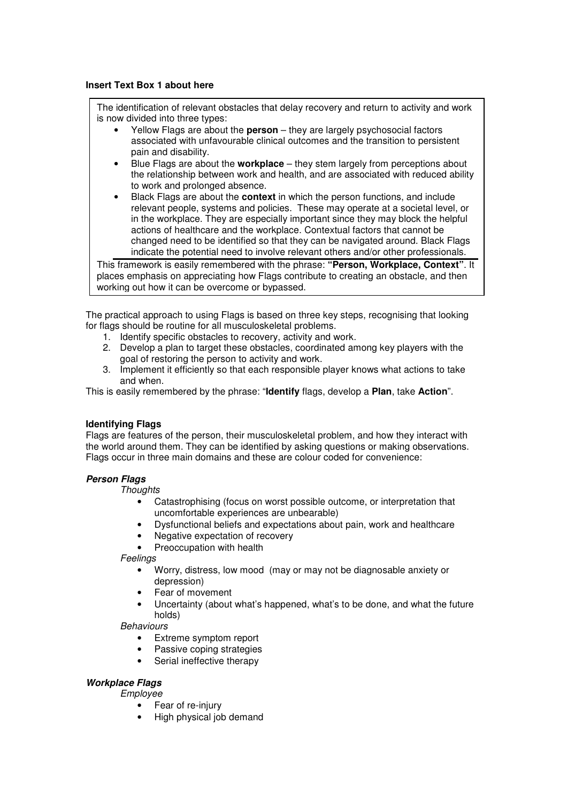# **Insert Text Box 1 about here**

The identification of relevant obstacles that delay recovery and return to activity and work is now divided into three types:

- Yellow Flags are about the **person** they are largely psychosocial factors associated with unfavourable clinical outcomes and the transition to persistent pain and disability.
- Blue Flags are about the **workplace** they stem largely from perceptions about the relationship between work and health, and are associated with reduced ability to work and prolonged absence.
- Black Flags are about the **context** in which the person functions, and include relevant people, systems and policies. These may operate at a societal level, or in the workplace. They are especially important since they may block the helpful actions of healthcare and the workplace. Contextual factors that cannot be changed need to be identified so that they can be navigated around. Black Flags indicate the potential need to involve relevant others and/or other professionals.

This framework is easily remembered with the phrase: **"Person, Workplace, Context"**. It places emphasis on appreciating how Flags contribute to creating an obstacle, and then working out how it can be overcome or bypassed.

The practical approach to using Flags is based on three key steps, recognising that looking for flags should be routine for all musculoskeletal problems.

- 1. Identify specific obstacles to recovery, activity and work.
- 2. Develop a plan to target these obstacles, coordinated among key players with the goal of restoring the person to activity and work.
- 3. Implement it efficiently so that each responsible player knows what actions to take and when.

This is easily remembered by the phrase: "**Identify** flags, develop a **Plan**, take **Action**".

# **Identifying Flags**

Flags are features of the person, their musculoskeletal problem, and how they interact with the world around them. They can be identified by asking questions or making observations. Flags occur in three main domains and these are colour coded for convenience:

#### **Person Flags**

**Thoughts** 

- Catastrophising (focus on worst possible outcome, or interpretation that uncomfortable experiences are unbearable)
- Dysfunctional beliefs and expectations about pain, work and healthcare
- Negative expectation of recovery
- Preoccupation with health

**Feelings** 

- Worry, distress, low mood (may or may not be diagnosable anxiety or depression)
- Fear of movement
- Uncertainty (about what's happened, what's to be done, and what the future holds)

**Behaviours** 

- Extreme symptom report
- Passive coping strategies
- Serial ineffective therapy

# **Workplace Flags**

Employee

- Fear of re-injury
- High physical job demand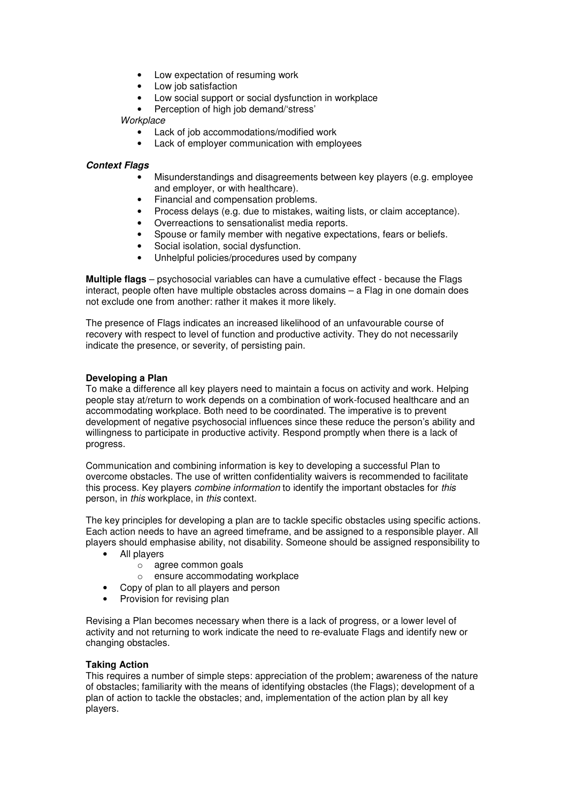- Low expectation of resuming work
- Low job satisfaction
- Low social support or social dysfunction in workplace
- Perception of high job demand/'stress'

# **Workplace**

- Lack of job accommodations/modified work
- Lack of employer communication with employees

# **Context Flags**

- Misunderstandings and disagreements between key players (e.g. employee and employer, or with healthcare).
- Financial and compensation problems.
- Process delays (e.g. due to mistakes, waiting lists, or claim acceptance).
- Overreactions to sensationalist media reports.
- Spouse or family member with negative expectations, fears or beliefs.
- Social isolation, social dysfunction.
- Unhelpful policies/procedures used by company

**Multiple flags** – psychosocial variables can have a cumulative effect - because the Flags interact, people often have multiple obstacles across domains – a Flag in one domain does not exclude one from another: rather it makes it more likely.

The presence of Flags indicates an increased likelihood of an unfavourable course of recovery with respect to level of function and productive activity. They do not necessarily indicate the presence, or severity, of persisting pain.

### **Developing a Plan**

To make a difference all key players need to maintain a focus on activity and work. Helping people stay at/return to work depends on a combination of work-focused healthcare and an accommodating workplace. Both need to be coordinated. The imperative is to prevent development of negative psychosocial influences since these reduce the person's ability and willingness to participate in productive activity. Respond promptly when there is a lack of progress.

Communication and combining information is key to developing a successful Plan to overcome obstacles. The use of written confidentiality waivers is recommended to facilitate this process. Key players combine information to identify the important obstacles for this person, in this workplace, in this context.

The key principles for developing a plan are to tackle specific obstacles using specific actions. Each action needs to have an agreed timeframe, and be assigned to a responsible player. All players should emphasise ability, not disability. Someone should be assigned responsibility to

- All players
	- o agree common goals
	- o ensure accommodating workplace
- Copy of plan to all players and person
- Provision for revising plan

Revising a Plan becomes necessary when there is a lack of progress, or a lower level of activity and not returning to work indicate the need to re-evaluate Flags and identify new or changing obstacles.

#### **Taking Action**

This requires a number of simple steps: appreciation of the problem; awareness of the nature of obstacles; familiarity with the means of identifying obstacles (the Flags); development of a plan of action to tackle the obstacles; and, implementation of the action plan by all key players.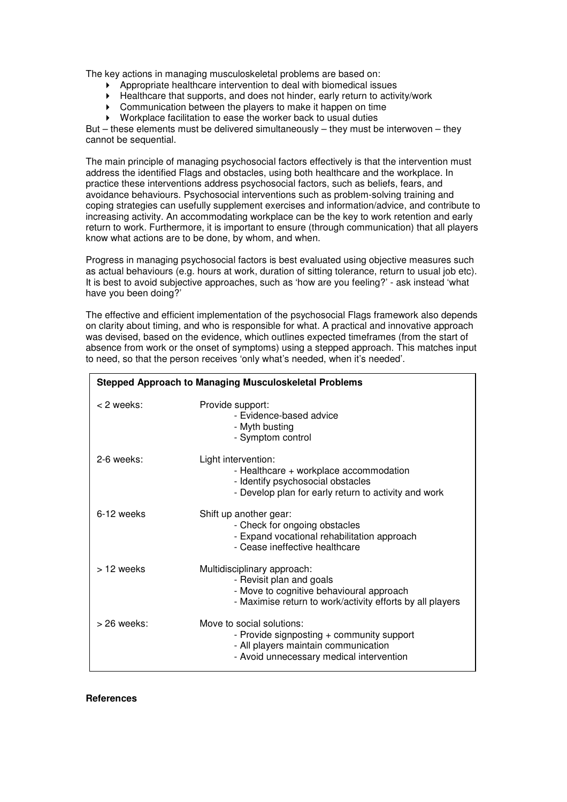The key actions in managing musculoskeletal problems are based on:

- Appropriate healthcare intervention to deal with biomedical issues
- Healthcare that supports, and does not hinder, early return to activity/work
- Communication between the players to make it happen on time
- Workplace facilitation to ease the worker back to usual duties

But – these elements must be delivered simultaneously – they must be interwoven – they cannot be sequential.

The main principle of managing psychosocial factors effectively is that the intervention must address the identified Flags and obstacles, using both healthcare and the workplace. In practice these interventions address psychosocial factors, such as beliefs, fears, and avoidance behaviours. Psychosocial interventions such as problem-solving training and coping strategies can usefully supplement exercises and information/advice, and contribute to increasing activity. An accommodating workplace can be the key to work retention and early return to work. Furthermore, it is important to ensure (through communication) that all players know what actions are to be done, by whom, and when.

Progress in managing psychosocial factors is best evaluated using objective measures such as actual behaviours (e.g. hours at work, duration of sitting tolerance, return to usual job etc). It is best to avoid subjective approaches, such as 'how are you feeling?' - ask instead 'what have you been doing?'

The effective and efficient implementation of the psychosocial Flags framework also depends on clarity about timing, and who is responsible for what. A practical and innovative approach was devised, based on the evidence, which outlines expected timeframes (from the start of absence from work or the onset of symptoms) using a stepped approach. This matches input to need, so that the person receives 'only what's needed, when it's needed'.

| <b>Stepped Approach to Managing Musculoskeletal Problems</b> |                                                                                                                                                                  |
|--------------------------------------------------------------|------------------------------------------------------------------------------------------------------------------------------------------------------------------|
| < 2 weeks:                                                   | Provide support:<br>- Evidence-based advice<br>- Myth busting<br>- Symptom control                                                                               |
| 2-6 weeks:                                                   | Light intervention:<br>- Healthcare + workplace accommodation<br>- Identify psychosocial obstacles<br>- Develop plan for early return to activity and work       |
| 6-12 weeks                                                   | Shift up another gear:<br>- Check for ongoing obstacles<br>- Expand vocational rehabilitation approach<br>- Cease ineffective healthcare                         |
| > 12 weeks                                                   | Multidisciplinary approach:<br>- Revisit plan and goals<br>- Move to cognitive behavioural approach<br>- Maximise return to work/activity efforts by all players |
| $>$ 26 weeks:                                                | Move to social solutions:<br>- Provide signposting + community support<br>- All players maintain communication<br>- Avoid unnecessary medical intervention       |

**References**